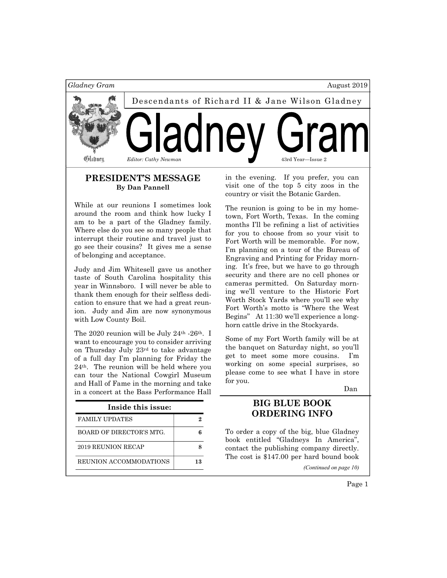

# PRESIDENT'S MESSAGE By Dan Pannell

While at our reunions I sometimes look around the room and think how lucky I am to be a part of the Gladney family. Where else do you see so many people that interrupt their routine and travel just to go see their cousins? It gives me a sense of belonging and acceptance.

Judy and Jim Whitesell gave us another taste of South Carolina hospitality this year in Winnsboro. I will never be able to thank them enough for their selfless dedication to ensure that we had a great reunion. Judy and Jim are now synonymous with Low County Boil.

The 2020 reunion will be July 24<sup>th</sup> -26<sup>th</sup>. I want to encourage you to consider arriving on Thursday July 23rd to take advantage of a full day I'm planning for Friday the 24th. The reunion will be held where you can tour the National Cowgirl Museum and Hall of Fame in the morning and take in a concert at the Bass Performance Hall

| Inside this issue:       |    |
|--------------------------|----|
| <b>FAMILY UPDATES</b>    |    |
| BOARD OF DIRECTOR'S MTG. |    |
| 2019 REUNION RECAP       |    |
| REUNION ACCOMMODATIONS   | 13 |

in the evening. If you prefer, you can visit one of the top 5 city zoos in the country or visit the Botanic Garden.

The reunion is going to be in my hometown, Fort Worth, Texas. In the coming months I'll be refining a list of activities for you to choose from so your visit to Fort Worth will be memorable. For now, I'm planning on a tour of the Bureau of Engraving and Printing for Friday morning. It's free, but we have to go through security and there are no cell phones or cameras permitted. On Saturday morning we'll venture to the Historic Fort Worth Stock Yards where you'll see why Fort Worth's motto is "Where the West Begins" At 11:30 we'll experience a longhorn cattle drive in the Stockyards.

Some of my Fort Worth family will be at the banquet on Saturday night, so you'll get to meet some more cousins. I'm working on some special surprises, so please come to see what I have in store for you.

Dan

# BIG BLUE BOOK ORDERING INFO

To order a copy of the big, blue Gladney book entitled "Gladneys In America", contact the publishing company directly. The cost is \$147.00 per hard bound book

(Continued on page 10)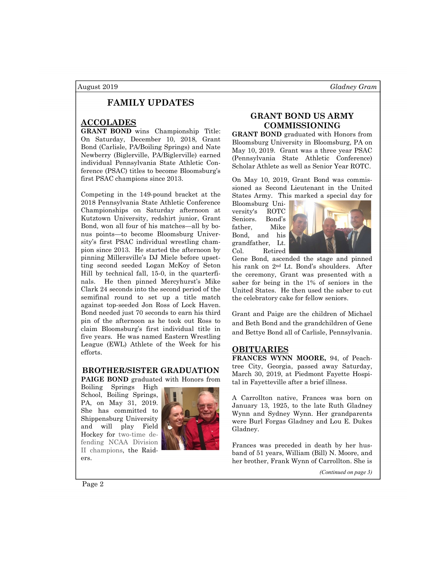# FAMILY UPDATES

## ACCOLADES

GRANT BOND wins Championship Title: On Saturday, December 10, 2018, Grant Bond (Carlisle, PA/Boiling Springs) and Nate Newberry (Biglerville, PA/Biglerville) earned individual Pennsylvania State Athletic Conference (PSAC) titles to become Bloomsburg's first PSAC champions since 2013.

Competing in the 149-pound bracket at the 2018 Pennsylvania State Athletic Conference Championships on Saturday afternoon at Kutztown University, redshirt junior, Grant Bond, won all four of his matches—all by bonus points—to become Bloomsburg University's first PSAC individual wrestling champion since 2013. He started the afternoon by pinning Millersville's DJ Miele before upsetting second seeded Logan McKoy of Seton Hill by technical fall, 15-0, in the quarterfinals. He then pinned Mercyhurst's Mike Clark 24 seconds into the second period of the semifinal round to set up a title match against top-seeded Jon Ross of Lock Haven. Bond needed just 70 seconds to earn his third pin of the afternoon as he took out Ross to claim Bloomsburg's first individual title in five years. He was named Eastern Wrestling League (EWL) Athlete of the Week for his efforts.

## BROTHER/SISTER GRADUATION

PAIGE BOND graduated with Honors from

Boiling Springs High School, Boiling Springs, PA, on May 31, 2019. She has committed to Shippensburg University and will play Field Hockey for two-time defending NCAA Division II champions, the Raiders.



# GRANT BOND US ARMY COMMISSIONING

GRANT BOND graduated with Honors from Bloomsburg University in Bloomsburg, PA on May 10, 2019. Grant was a three year PSAC (Pennsylvania State Athletic Conference) Scholar Athlete as well as Senior Year ROTC.

On May 10, 2019, Grant Bond was commissioned as Second Lieutenant in the United States Army. This marked a special day for

Bloomsburg University's ROTC Seniors. Bond's father, Mike Bond, and his grandfather, Lt. Col. Retired



Gene Bond, ascended the stage and pinned his rank on 2nd Lt. Bond's shoulders. After the ceremony, Grant was presented with a saber for being in the 1% of seniors in the United States. He then used the saber to cut the celebratory cake for fellow seniors.

Grant and Paige are the children of Michael and Beth Bond and the grandchildren of Gene and Bettye Bond all of Carlisle, Pennsylvania.

## OBITUARIES

FRANCES WYNN MOORE, 94, of Peachtree City, Georgia, passed away Saturday, March 30, 2019, at Piedmont Fayette Hospital in Fayetteville after a brief illness.

A Carrollton native, Frances was born on January 13, 1925, to the late Ruth Gladney Wynn and Sydney Wynn. Her grandparents were Burl Forgas Gladney and Lou E. Dukes Gladney.

Frances was preceded in death by her husband of 51 years, William (Bill) N. Moore, and her brother, Frank Wynn of Carrollton. She is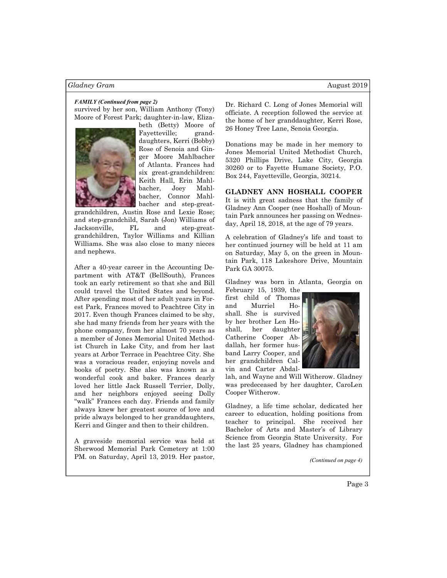survived by her son, William Anthony (Tony) Moore of Forest Park; daughter-in-law, Eliza-



beth (Betty) Moore of Fayetteville; granddaughters, Kerri (Bobby) Rose of Senoia and Ginger Moore Mahlbacher of Atlanta. Frances had six great-grandchildren: Keith Hall, Erin Mahlbacher, Joey Mahlbacher, Connor Mahlbacher and step-great-

grandchildren, Austin Rose and Lexie Rose; and step-grandchild, Sarah (Jon) Williams of Jacksonville, FL and step-greatgrandchildren, Taylor Williams and Killian Williams. She was also close to many nieces and nephews.

After a 40-year career in the Accounting Department with AT&T (BellSouth), Frances took an early retirement so that she and Bill could travel the United States and beyond. After spending most of her adult years in Forest Park, Frances moved to Peachtree City in 2017. Even though Frances claimed to be shy, she had many friends from her years with the phone company, from her almost 70 years as a member of Jones Memorial United Methodist Church in Lake City, and from her last years at Arbor Terrace in Peachtree City. She was a voracious reader, enjoying novels and books of poetry. She also was known as a wonderful cook and baker. Frances dearly loved her little Jack Russell Terrier, Dolly, and her neighbors enjoyed seeing Dolly "walk" Frances each day. Friends and family always knew her greatest source of love and pride always belonged to her granddaughters, Kerri and Ginger and then to their children.

A graveside memorial service was held at Sherwood Memorial Park Cemetery at 1:00 PM. on Saturday, April 13, 2019. Her pastor,

FAMILY (Continued from page 2)<br>Dr. Richard C. Long of Jones Memorial will officiate. A reception followed the service at the home of her granddaughter, Kerri Rose, 26 Honey Tree Lane, Senoia Georgia.

> Donations may be made in her memory to Jones Memorial United Methodist Church, 5320 Phillips Drive, Lake City, Georgia 30260 or to Fayette Humane Society, P.O. Box 244, Fayetteville, Georgia, 30214.

### GLADNEY ANN HOSHALL COOPER

It is with great sadness that the family of Gladney Ann Cooper (nee Hoshall) of Mountain Park announces her passing on Wednesday, April 18, 2018, at the age of 79 years.

A celebration of Gladney's life and toast to her continued journey will be held at 11 am on Saturday, May 5, on the green in Mountain Park, 118 Lakeshore Drive, Mountain Park GA 30075.

Gladney was born in Atlanta, Georgia on February 15, 1939, the

first child of Thomas and Murriel Hoshall. She is survived by her brother Len Hoshall, her daughter Catherine Cooper Abdallah, her former husband Larry Cooper, and her grandchildren Calvin and Carter Abdal-



lah, and Wayne and Will Witherow. Gladney was predeceased by her daughter, CaroLen Cooper Witherow.

Gladney, a life time scholar, dedicated her career to education, holding positions from teacher to principal. She received her Bachelor of Arts and Master's of Library Science from Georgia State University. For the last 25 years, Gladney has championed

(Continued on page 4)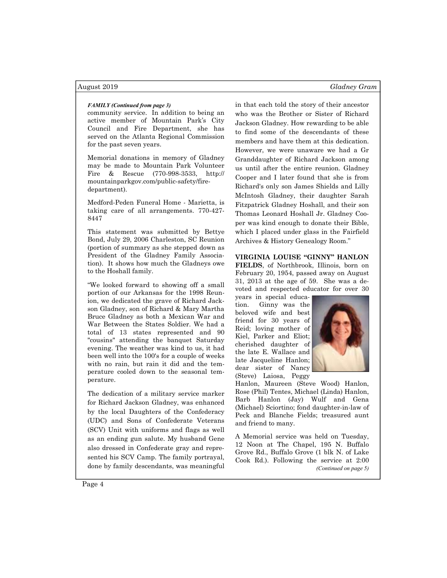### August 2019 Gladney Gram

community service. In addition to being an active member of Mountain Park's City Council and Fire Department, she has served on the Atlanta Regional Commission for the past seven years.

Memorial donations in memory of Gladney may be made to Mountain Park Volunteer Fire & Rescue (770-998-3533, http:// mountainparkgov.com/public-safety/firedepartment).

Medford-Peden Funeral Home - Marietta, is taking care of all arrangements. 770-427- 8447

This statement was submitted by Bettye Bond, July 29, 2006 Charleston, SC Reunion (portion of summary as she stepped down as President of the Gladney Family Association). It shows how much the Gladneys owe to the Hoshall family.

"We looked forward to showing off a small portion of our Arkansas for the 1998 Reunion, we dedicated the grave of Richard Jackson Gladney, son of Richard & Mary Martha Bruce Gladney as both a Mexican War and War Between the States Soldier. We had a total of 13 states represented and 90 "cousins" attending the banquet Saturday evening. The weather was kind to us, it had been well into the 100's for a couple of weeks with no rain, but rain it did and the temperature cooled down to the seasonal temperature.

The dedication of a military service marker for Richard Jackson Gladney, was enhanced by the local Daughters of the Confederacy (UDC) and Sons of Confederate Veterans (SCV) Unit with uniforms and flags as well as an ending gun salute. My husband Gene also dressed in Confederate gray and represented his SCV Camp. The family portrayal, done by family descendants, was meaningful

FAMILY (Continued from page 3) in that each told the story of their ancestor who was the Brother or Sister of Richard Jackson Gladney. How rewarding to be able to find some of the descendants of these members and have them at this dedication. However, we were unaware we had a Gr Granddaughter of Richard Jackson among us until after the entire reunion. Gladney Cooper and I later found that she is from Richard's only son James Shields and Lilly McIntosh Gladney, their daughter Sarah Fitzpatrick Gladney Hoshall, and their son Thomas Leonard Hoshall Jr. Gladney Cooper was kind enough to donate their Bible, which I placed under glass in the Fairfield Archives & History Genealogy Room."

# VIRGINIA LOUISE "GINNY" HANLON

FIELDS, of Northbrook, Illinois, born on February 20, 1954, passed away on August 31, 2013 at the age of 59. She was a devoted and respected educator for over 30

years in special education. Ginny was the beloved wife and best friend for 30 years of Reid; loving mother of Kiel, Parker and Eliot; cherished daughter of the late E. Wallace and late Jacqueline Hanlon; dear sister of Nancy (Steve) Laiosa, Peggy



Hanlon, Maureen (Steve Wood) Hanlon, Rose (Phil) Tentes, Michael (Linda) Hanlon, Barb Hanlon (Jay) Wulf and Gena (Michael) Sciortino; fond daughter-in-law of Peck and Blanche Fields; treasured aunt and friend to many.

A Memorial service was held on Tuesday, 12 Noon at The Chapel, 195 N. Buffalo Grove Rd., Buffalo Grove (1 blk N. of Lake Cook Rd.). Following the service at 2:00 (Continued on page 5)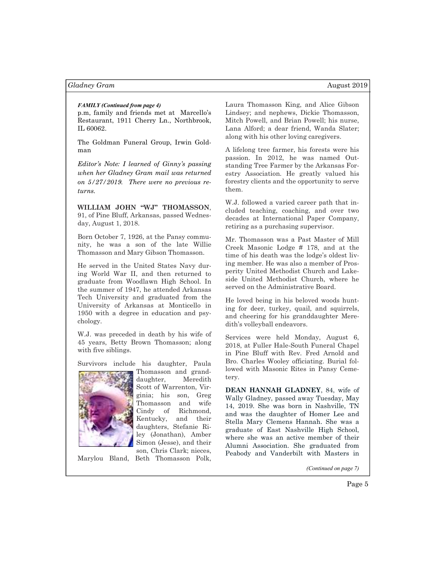## FAMILY (Continued from page 4)

p.m, family and friends met at Marcello's Restaurant, 1911 Cherry Ln., Northbrook, IL 60062.

The Goldman Funeral Group, Irwin Goldman

Editor's Note: I learned of Ginny's passing when her Gladney Gram mail was returned on 5/27/2019. There were no previous returns.

WILLIAM JOHN "WJ" THOMASSON, 91, of Pine Bluff, Arkansas, passed Wednesday, August 1, 2018.

Born October 7, 1926, at the Pansy community, he was a son of the late Willie Thomasson and Mary Gibson Thomasson.

He served in the United States Navy during World War II, and then returned to graduate from Woodlawn High School. In the summer of 1947, he attended Arkansas Tech University and graduated from the University of Arkansas at Monticello in 1950 with a degree in education and psychology.

W.J. was preceded in death by his wife of 45 years, Betty Brown Thomasson; along with five siblings.

Survivors include his daughter, Paula



Thomasson and granddaughter, Meredith Scott of Warrenton, Virginia; his son, Greg Thomasson and wife Cindy of Richmond, Kentucky, and their daughters, Stefanie Riley (Jonathan), Amber Simon (Jesse), and their son, Chris Clark; nieces,

Marylou Bland, Beth Thomasson Polk,

Laura Thomasson King, and Alice Gibson Lindsey; and nephews, Dickie Thomasson, Mitch Powell, and Brian Powell; his nurse, Lana Alford; a dear friend, Wanda Slater; along with his other loving caregivers.

A lifelong tree farmer, his forests were his passion. In 2012, he was named Outstanding Tree Farmer by the Arkansas Forestry Association. He greatly valued his forestry clients and the opportunity to serve them.

W.J. followed a varied career path that included teaching, coaching, and over two decades at International Paper Company, retiring as a purchasing supervisor.

Mr. Thomasson was a Past Master of Mill Creek Masonic Lodge # 178, and at the time of his death was the lodge's oldest living member. He was also a member of Prosperity United Methodist Church and Lakeside United Methodist Church, where he served on the Administrative Board.

He loved being in his beloved woods hunting for deer, turkey, quail, and squirrels, and cheering for his granddaughter Meredith's volleyball endeavors.

Services were held Monday, August 6, 2018, at Fuller Hale-South Funeral Chapel in Pine Bluff with Rev. Fred Arnold and Bro. Charles Wooley officiating. Burial followed with Masonic Rites in Pansy Cemetery.

DEAN HANNAH GLADNEY, 84, wife of Wally Gladney, passed away Tuesday, May 14, 2019. She was born in Nashville, TN and was the daughter of Homer Lee and Stella Mary Clemens Hannah. She was a graduate of East Nashville High School, where she was an active member of their Alumni Association. She graduated from Peabody and Vanderbilt with Masters in

(Continued on page 7)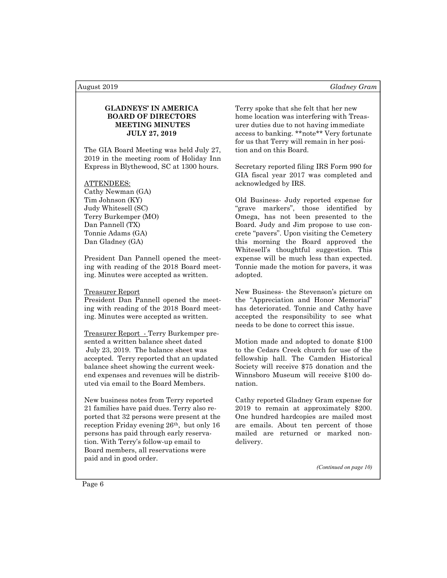# GLADNEYS' IN AMERICA BOARD OF DIRECTORS MEETING MINUTES JULY 27, 2019

The GIA Board Meeting was held July 27, 2019 in the meeting room of Holiday Inn Express in Blythewood, SC at 1300 hours.

### ATTENDEES:

Cathy Newman (GA) Tim Johnson (KY) Judy Whitesell (SC) Terry Burkemper (MO) Dan Pannell (TX) Tonnie Adams (GA) Dan Gladney (GA)

President Dan Pannell opened the meeting with reading of the 2018 Board meeting. Minutes were accepted as written.

### Treasurer Report

President Dan Pannell opened the meeting with reading of the 2018 Board meeting. Minutes were accepted as written.

Treasurer Report - Terry Burkemper presented a written balance sheet dated July 23, 2019. The balance sheet was accepted. Terry reported that an updated balance sheet showing the current weekend expenses and revenues will be distributed via email to the Board Members.

New business notes from Terry reported 21 families have paid dues. Terry also reported that 32 persons were present at the reception Friday evening 26th, but only 16 persons has paid through early reservation. With Terry's follow-up email to Board members, all reservations were paid and in good order.

Terry spoke that she felt that her new home location was interfering with Treasurer duties due to not having immediate access to banking. \*\*note\*\* Very fortunate for us that Terry will remain in her position and on this Board.

Secretary reported filing IRS Form 990 for GIA fiscal year 2017 was completed and acknowledged by IRS.

Old Business- Judy reported expense for "grave markers", those identified by Omega, has not been presented to the Board. Judy and Jim propose to use concrete "pavers". Upon visiting the Cemetery this morning the Board approved the Whitesell's thoughtful suggestion. This expense will be much less than expected. Tonnie made the motion for pavers, it was adopted.

New Business- the Stevenson's picture on the "Appreciation and Honor Memorial" has deteriorated. Tonnie and Cathy have accepted the responsibility to see what needs to be done to correct this issue.

Motion made and adopted to donate \$100 to the Cedars Creek church for use of the fellowship hall. The Camden Historical Society will receive \$75 donation and the Winnsboro Museum will receive \$100 donation.

Cathy reported Gladney Gram expense for 2019 to remain at approximately \$200. One hundred hardcopies are mailed most are emails. About ten percent of those mailed are returned or marked nondelivery.

(Continued on page 10)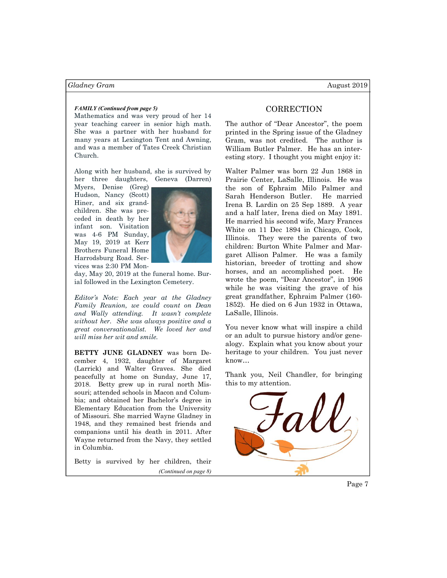## FAMILY (Continued from page 5)

Mathematics and was very proud of her 14 year teaching career in senior high math. She was a partner with her husband for many years at Lexington Tent and Awning, and was a member of Tates Creek Christian Church.

Along with her husband, she is survived by her three daughters, Geneva (Darren)

Myers, Denise (Greg) Hudson, Nancy (Scott) Hiner, and six grandchildren. She was preceded in death by her infant son. Visitation was 4-6 PM Sunday, May 19, 2019 at Kerr Brothers Funeral Home Harrodsburg Road. Services was 2:30 PM Mon-



day, May 20, 2019 at the funeral home. Burial followed in the Lexington Cemetery.

Editor's Note: Each year at the Gladney Family Reunion, we could count on Dean and Wally attending. It wasn't complete without her. She was always positive and a great conversationalist. We loved her and will miss her wit and smile.

BETTY JUNE GLADNEY was born December 4, 1932, daughter of Margaret (Larrick) and Walter Graves. She died peacefully at home on Sunday, June 17, 2018. Betty grew up in rural north Missouri; attended schools in Macon and Columbia; and obtained her Bachelor's degree in Elementary Education from the University of Missouri. She married Wayne Gladney in 1948, and they remained best friends and companions until his death in 2011. After Wayne returned from the Navy, they settled in Columbia.

Betty is survived by her children, their (Continued on page 8)

# **CORRECTION**

The author of "Dear Ancestor", the poem printed in the Spring issue of the Gladney Gram, was not credited. The author is William Butler Palmer. He has an interesting story. I thought you might enjoy it:

Walter Palmer was born 22 Jun 1868 in Prairie Center, LaSalle, Illinois. He was the son of Ephraim Milo Palmer and Sarah Henderson Butler. He married Irena B. Lardin on 25 Sep 1889. A year and a half later, Irena died on May 1891. He married his second wife, Mary Frances White on 11 Dec 1894 in Chicago, Cook, Illinois. They were the parents of two children: Burton White Palmer and Margaret Allison Palmer. He was a family historian, breeder of trotting and show horses, and an accomplished poet. He wrote the poem, "Dear Ancestor", in 1906 while he was visiting the grave of his great grandfather, Ephraim Palmer (160- 1852). He died on 6 Jun 1932 in Ottawa, LaSalle, Illinois.

You never know what will inspire a child or an adult to pursue history and/or genealogy. Explain what you know about your heritage to your children. You just never know…

Thank you, Neil Chandler, for bringing this to my attention.



Page 7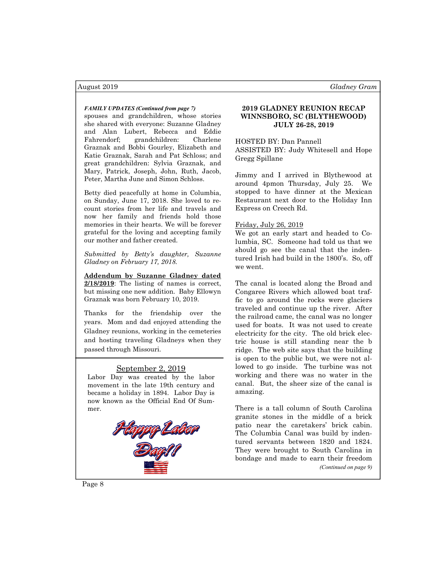spouses and grandchildren, whose stories she shared with everyone: Suzanne Gladney and Alan Lubert, Rebecca and Eddie Fahrendorf; grandchildren: Charlene Graznak and Bobbi Gourley, Elizabeth and Katie Graznak, Sarah and Pat Schloss; and great grandchildren: Sylvia Graznak, and Mary, Patrick, Joseph, John, Ruth, Jacob, Peter, Martha June and Simon Schloss.

Betty died peacefully at home in Columbia, on Sunday, June 17, 2018. She loved to recount stories from her life and travels and now her family and friends hold those memories in their hearts. We will be forever grateful for the loving and accepting family our mother and father created.

Submitted by Betty's daughter, Suzanne Gladney on February 17, 2018.

Addendum by Suzanne Gladney dated 2/18/2019: The listing of names is correct, but missing one new addition. Baby Ellowyn Graznak was born February 10, 2019.

Thanks for the friendship over the years. Mom and dad enjoyed attending the Gladney reunions, working in the cemeteries and hosting traveling Gladneys when they passed through Missouri.

## September 2, 2019

Labor Day was created by the labor movement in the late 19th century and became a holiday in 1894. Labor Day is now known as the Official End Of Summer.



# FAMILY UPDATES (Continued from page 7) 2019 GLADNEY REUNION RECAP WINNSBORO, SC (BLYTHEWOOD) JULY 26-28, 2019

HOSTED BY: Dan Pannell ASSISTED BY: Judy Whitesell and Hope Gregg Spillane

Jimmy and I arrived in Blythewood at around 4pmon Thursday, July 25. We stopped to have dinner at the Mexican Restaurant next door to the Holiday Inn Express on Creech Rd.

### Friday, July 26, 2019

We got an early start and headed to Columbia, SC. Someone had told us that we should go see the canal that the indentured Irish had build in the 1800's. So, off we went.

The canal is located along the Broad and Congaree Rivers which allowed boat traffic to go around the rocks were glaciers traveled and continue up the river. After the railroad came, the canal was no longer used for boats. It was not used to create electricity for the city. The old brick electric house is still standing near the b ridge. The web site says that the building is open to the public but, we were not allowed to go inside. The turbine was not working and there was no water in the canal. But, the sheer size of the canal is amazing.

There is a tall column of South Carolina granite stones in the middle of a brick patio near the caretakers' brick cabin. The Columbia Canal was build by indentured servants between 1820 and 1824. They were brought to South Carolina in bondage and made to earn their freedom (Continued on page 9)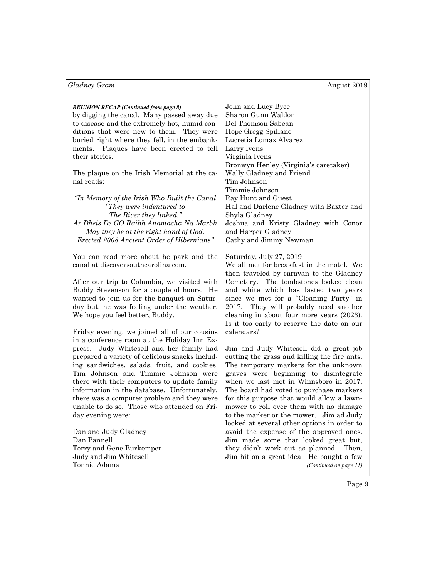# REUNION RECAP (Continued from page 8) John and Lucy Byce

by digging the canal. Many passed away due to disease and the extremely hot, humid conditions that were new to them. They were buried right where they fell, in the embankments. Plaques have been erected to tell their stories.

The plaque on the Irish Memorial at the canal reads:

"In Memory of the Irish Who Built the Canal "They were indentured to The River they linked." Ar Dheis De GO Raibh Anamacha Na Marbh May they be at the right hand of God. Erected 2008 Ancient Order of Hibernians"

You can read more about he park and the canal at discoversouthcarolina.com.

After our trip to Columbia, we visited with Buddy Stevenson for a couple of hours. He wanted to join us for the banquet on Saturday but, he was feeling under the weather. We hope you feel better, Buddy.

Friday evening, we joined all of our cousins in a conference room at the Holiday Inn Express. Judy Whitesell and her family had prepared a variety of delicious snacks including sandwiches, salads, fruit, and cookies. Tim Johnson and Timmie Johnson were there with their computers to update family information in the database. Unfortunately, there was a computer problem and they were unable to do so. Those who attended on Friday evening were:

Dan and Judy Gladney Dan Pannell Terry and Gene Burkemper Judy and Jim Whitesell Tonnie Adams

Sharon Gunn Waldon Del Thomson Sabean Hope Gregg Spillane Lucretia Lomax Alvarez Larry Ivens Virginia Ivens Bronwyn Henley (Virginia's caretaker) Wally Gladney and Friend Tim Johnson Timmie Johnson Ray Hunt and Guest Hal and Darlene Gladney with Baxter and Shyla Gladney Joshua and Kristy Gladney with Conor and Harper Gladney Cathy and Jimmy Newman

## Saturday, July 27, 2019

We all met for breakfast in the motel. We then traveled by caravan to the Gladney Cemetery. The tombstones looked clean and white which has lasted two years since we met for a "Cleaning Party" in 2017. They will probably need another cleaning in about four more years (2023). Is it too early to reserve the date on our calendars?

Jim and Judy Whitesell did a great job cutting the grass and killing the fire ants. The temporary markers for the unknown graves were beginning to disintegrate when we last met in Winnsboro in 2017. The board had voted to purchase markers for this purpose that would allow a lawnmower to roll over them with no damage to the marker or the mower. Jim ad Judy looked at several other options in order to avoid the expense of the approved ones. Jim made some that looked great but, they didn't work out as planned. Then, Jim hit on a great idea. He bought a few (Continued on page 11)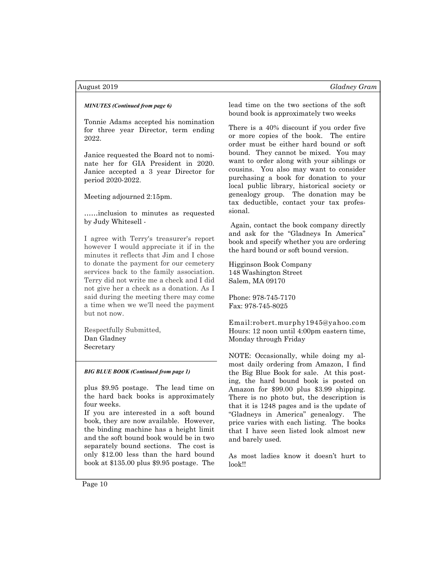Tonnie Adams accepted his nomination for three year Director, term ending 2022.

Janice requested the Board not to nominate her for GIA President in 2020. Janice accepted a 3 year Director for period 2020-2022.

Meeting adjourned 2:15pm.

……inclusion to minutes as requested by Judy Whitesell -

I agree with Terry's treasurer's report however I would appreciate it if in the minutes it reflects that Jim and I chose to donate the payment for our cemetery services back to the family association. Terry did not write me a check and I did not give her a check as a donation. As I said during the meeting there may come a time when we we'll need the payment but not now.

Respectfully Submitted, Dan Gladney Secretary

## BIG BLUE BOOK (Continued from page 1)

plus \$9.95 postage. The lead time on the hard back books is approximately four weeks.

If you are interested in a soft bound book, they are now available. However, the binding machine has a height limit and the soft bound book would be in two separately bound sections. The cost is only \$12.00 less than the hard bound book at \$135.00 plus \$9.95 postage. The

MINUTES (Continued from page 6) lead time on the two sections of the soft bound book is approximately two weeks

> There is a 40% discount if you order five or more copies of the book. The entire order must be either hard bound or soft bound. They cannot be mixed. You may want to order along with your siblings or cousins. You also may want to consider purchasing a book for donation to your local public library, historical society or genealogy group. The donation may be tax deductible, contact your tax professional.

 Again, contact the book company directly and ask for the "Gladneys In America" book and specify whether you are ordering the hard bound or soft bound version.

Higginson Book Company 148 Washington Street Salem, MA 09170

Phone: 978-745-7170 Fax: 978-745-8025

Email:robert.murphy1945@yahoo.com Hours: 12 noon until 4:00pm eastern time, Monday through Friday

NOTE: Occasionally, while doing my almost daily ordering from Amazon, I find the Big Blue Book for sale. At this posting, the hard bound book is posted on Amazon for \$99.00 plus \$3.99 shipping. There is no photo but, the description is that it is 1248 pages and is the update of "Gladneys in America" genealogy. The price varies with each listing. The books that I have seen listed look almost new and barely used.

As most ladies know it doesn't hurt to look!!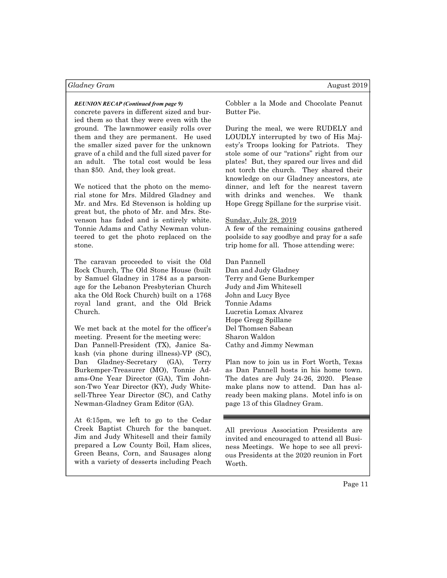concrete pavers in different sized and buried them so that they were even with the ground. The lawnmower easily rolls over them and they are permanent. He used the smaller sized paver for the unknown grave of a child and the full sized paver for an adult. The total cost would be less than \$50. And, they look great.

We noticed that the photo on the memorial stone for Mrs. Mildred Gladney and Mr. and Mrs. Ed Stevenson is holding up great but, the photo of Mr. and Mrs. Stevenson has faded and is entirely white. Tonnie Adams and Cathy Newman volunteered to get the photo replaced on the stone.

The caravan proceeded to visit the Old Rock Church, The Old Stone House (built by Samuel Gladney in 1784 as a parsonage for the Lebanon Presbyterian Church aka the Old Rock Church) built on a 1768 royal land grant, and the Old Brick Church.

We met back at the motel for the officer's meeting. Present for the meeting were:

Dan Pannell-President (TX), Janice Sakash (via phone during illness)-VP (SC), Dan Gladney-Secretary (GA), Terry Burkemper-Treasurer (MO), Tonnie Adams-One Year Director (GA), Tim Johnson-Two Year Director (KY), Judy Whitesell-Three Year Director (SC), and Cathy Newman-Gladney Gram Editor (GA).

At 6:15pm, we left to go to the Cedar Creek Baptist Church for the banquet. Jim and Judy Whitesell and their family prepared a Low County Boil, Ham slices, Green Beans, Corn, and Sausages along with a variety of desserts including Peach

REUNION RECAP (Continued from page 9) Cobbler a la Mode and Chocolate Peanut Butter Pie.

> During the meal, we were RUDELY and LOUDLY interrupted by two of His Majesty's Troops looking for Patriots. They stole some of our "rations" right from our plates! But, they spared our lives and did not torch the church. They shared their knowledge on our Gladney ancestors, ate dinner, and left for the nearest tavern with drinks and wenches. We thank Hope Gregg Spillane for the surprise visit.

### Sunday, July 28, 2019

A few of the remaining cousins gathered poolside to say goodbye and pray for a safe trip home for all. Those attending were:

Dan Pannell Dan and Judy Gladney Terry and Gene Burkemper Judy and Jim Whitesell John and Lucy Byce Tonnie Adams Lucretia Lomax Alvarez Hope Gregg Spillane Del Thomsen Sabean Sharon Waldon Cathy and Jimmy Newman

Plan now to join us in Fort Worth, Texas as Dan Pannell hosts in his home town. The dates are July 24-26, 2020. Please make plans now to attend. Dan has already been making plans. Motel info is on page 13 of this Gladney Gram.

All previous Association Presidents are invited and encouraged to attend all Business Meetings. We hope to see all previous Presidents at the 2020 reunion in Fort Worth.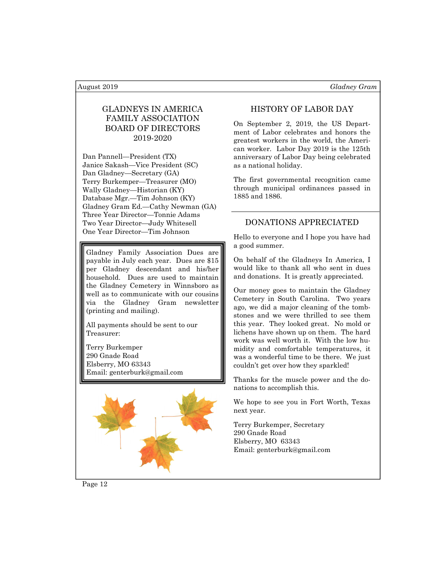# GLADNEYS IN AMERICA FAMILY ASSOCIATION BOARD OF DIRECTORS 2019-2020

Dan Pannell—President (TX) Janice Sakash—Vice President (SC) Dan Gladney—Secretary (GA) Terry Burkemper—Treasurer (MO) Wally Gladney—Historian (KY) Database Mgr.—Tim Johnson (KY) Gladney Gram Ed.—Cathy Newman (GA) Three Year Director—Tonnie Adams Two Year Director—Judy Whitesell One Year Director—Tim Johnson

Gladney Family Association Dues are payable in July each year. Dues are \$15 per Gladney descendant and his/her household. Dues are used to maintain the Gladney Cemetery in Winnsboro as well as to communicate with our cousins via the Gladney Gram newsletter (printing and mailing).

All payments should be sent to our Treasurer:

Terry Burkemper 290 Gnade Road Elsberry, MO 63343 Email: genterburk@gmail.com



# HISTORY OF LABOR DAY

On September 2, 2019, the US Department of Labor celebrates and honors the greatest workers in the world, the American worker. Labor Day 2019 is the 125th anniversary of Labor Day being celebrated as a national holiday.

The first governmental recognition came through municipal ordinances passed in 1885 and 1886.

# DONATIONS APPRECIATED

Hello to everyone and I hope you have had a good summer.

On behalf of the Gladneys In America, I would like to thank all who sent in dues and donations. It is greatly appreciated.

Our money goes to maintain the Gladney Cemetery in South Carolina. Two years ago, we did a major cleaning of the tombstones and we were thrilled to see them this year. They looked great. No mold or lichens have shown up on them. The hard work was well worth it. With the low humidity and comfortable temperatures, it was a wonderful time to be there. We just couldn't get over how they sparkled!

Thanks for the muscle power and the donations to accomplish this.

We hope to see you in Fort Worth, Texas next year.

Terry Burkemper, Secretary 290 Gnade Road Elsberry, MO 63343 Email: genterburk@gmail.com

Page 12

August 2019 **Gladney Gram**